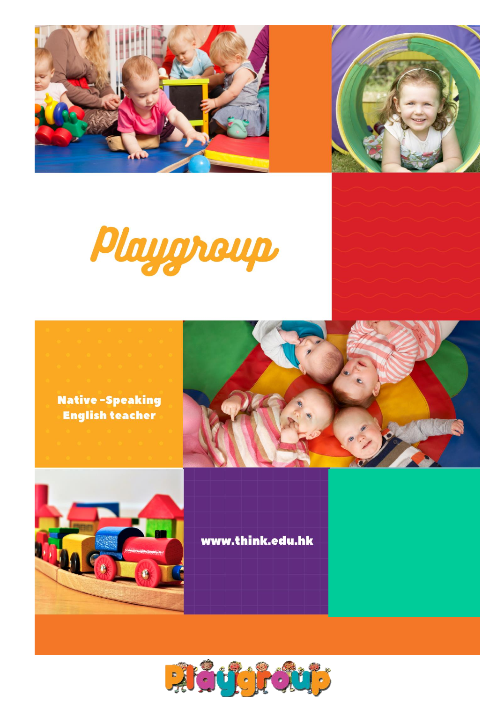











www.think.edu.hk

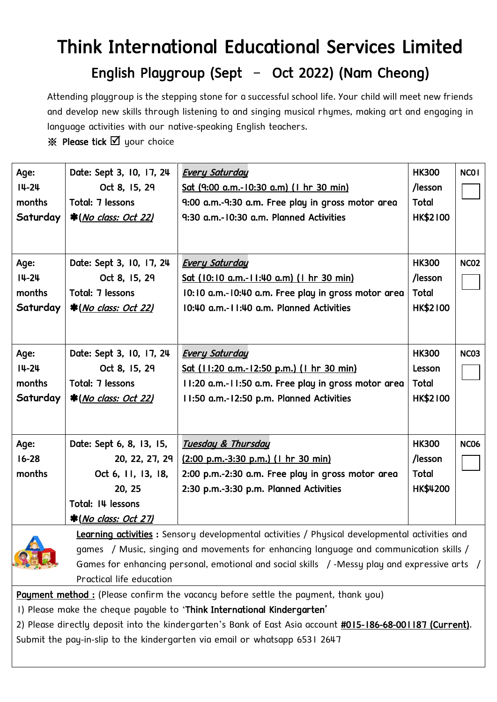# Think International Educational Services Limited English Playgroup (Sept – Oct 2022) (Nam Cheong)

Attending playgroup is the stepping stone for a successful school life. Your child will meet new friends and develop new skills through listening to and singing musical rhymes, making art and engaging in language activities with our native-speaking English teachers.

 $\%$  Please tick  $\boxtimes$  your choice

| Age:      | Date: Sept 3, 10, 17, 24    | <b>Every Saturday</b>                                 | <b>HK300</b>    | <b>NCO1</b> |
|-----------|-----------------------------|-------------------------------------------------------|-----------------|-------------|
| $14 - 24$ | Oct 8, 15, 29               | <u>Sat (9:00 a.m.-10:30 a.m) (1 hr 30 min)</u>        | /lesson         |             |
| months    | Total: 7 lessons            | 9:00 a.m.-9:30 a.m. Free play in gross motor area     | <b>Total</b>    |             |
| Saturday  | <b>*(No class: Oct 22)</b>  | 9:30 a.m.-10:30 a.m. Planned Activities               | <b>HK\$2100</b> |             |
|           |                             |                                                       |                 |             |
| Age:      | Date: Sept 3, 10, 17, 24    | <b>Every Saturday</b>                                 | <b>HK300</b>    | <b>NC02</b> |
| $14 - 24$ | Oct 8, 15, 29               | Sat (10:10 a.m.-11:40 a.m) (1 hr 30 min)              | /lesson         |             |
| months    | Total: 7 lessons            | 10:10 a.m.-10:40 a.m. Free play in gross motor area   | <b>Total</b>    |             |
| Saturday  | <b>*(No class: Oct 22)</b>  | 10:40 a.m.-11:40 a.m. Planned Activities              | <b>HK\$2100</b> |             |
|           |                             |                                                       |                 |             |
| Age:      | Date: Sept 3, 10, 17, 24    | <b>Every Saturday</b>                                 | <b>HK300</b>    | <b>NC03</b> |
| $14 - 24$ | Oct 8, 15, 29               | <u>Sat (11:20 a.m.-12:50 p.m.) (1 hr 30 min)</u>      | Lesson          |             |
| months    | Total: 7 lessons            | 11:20 a.m.-11:50 a.m. Free play in gross motor area   | <b>Total</b>    |             |
| Saturday  | <b>*(No class: Oct 22)</b>  | II:50 a.m.-12:50 p.m. Planned Activities              | <b>HK\$2100</b> |             |
|           |                             |                                                       |                 |             |
| Age:      | Date: Sept 6, 8, 13, 15,    | <b>Tuesday &amp; Thursday</b>                         | <b>HK300</b>    | <b>NC06</b> |
| $16 - 28$ | 20, 22, 27, 29              | $(2:00 \text{ p.m.}-3:30 \text{ p.m.})$ (1 hr 30 min) | /lesson         |             |
| months    | Oct 6, 11, 13, 18,          | 2:00 p.m.-2:30 a.m. Free play in gross motor area     | <b>Total</b>    |             |
|           | 20, 25                      | 2:30 p.m.-3:30 p.m. Planned Activities                | HK\$4200        |             |
|           | Total: I4 lessons           |                                                       |                 |             |
|           | *( <i>No class: Oct 27)</i> |                                                       |                 |             |



Learning activities : Sensory developmental activities / Physical developmental activities and games / Music, singing and movements for enhancing language and communication skills / Games for enhancing personal, emotional and social skills /-Messy play and expressive arts / Practical life education

Payment method : (Please confirm the vacancy before settle the payment, thank you)

1) Please make the cheque payable to 'Think International Kindergarten'

2) Please directly deposit into the kindergarten's Bank of East Asia account #015-186-68-001187 (Current). Submit the pay-in-slip to the kindergarten via email or whatsapp 6531 2647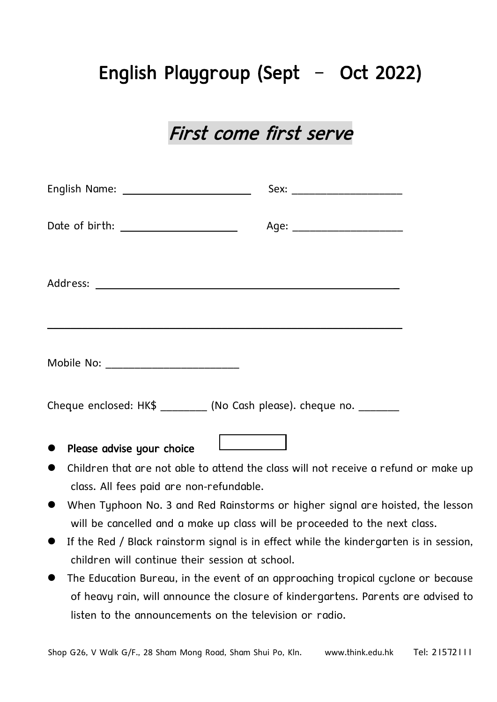## English Playgroup (Sept – Oct 2022)

### First come first serve

| Date of birth: ______________________ | Age: ________________________                                                                                        |
|---------------------------------------|----------------------------------------------------------------------------------------------------------------------|
|                                       |                                                                                                                      |
| Mobile No: _________________________  |                                                                                                                      |
|                                       | Cheque enclosed: HK\$ _________ (No Cash please). cheque no. _______                                                 |
| • Please advise your choice           | <u> El antigo de la propia de la propia de la propia de la propia de la propia de la propia de la propia de la p</u> |

- ⚫ Children that are not able to attend the class will not receive a refund or make up class. All fees paid are non-refundable.
- ⚫ When Typhoon No. 3 and Red Rainstorms or higher signal are hoisted, the lesson will be cancelled and a make up class will be proceeded to the next class.
- ⚫ If the Red / Black rainstorm signal is in effect while the kindergarten is in session, children will continue their session at school.
- The Education Bureau, in the event of an approaching tropical cyclone or because of heavy rain, will announce the closure of kindergartens. Parents are advised to listen to the announcements on the television or radio.